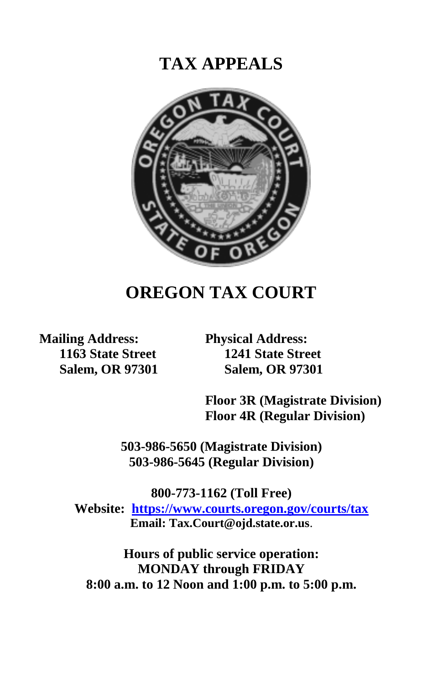# **TAX APPEALS**



# **OREGON TAX COURT**

**Mailing Address: 1163 State Street Salem, OR 97301** **Physical Address: 1241 State Street Salem, OR 97301**

**Floor 3R (Magistrate Division) Floor 4R (Regular Division)**

**503-986-5650 (Magistrate Division) 503-986-5645 (Regular Division)**

**800-773-1162 (Toll Free) Website: [https://www.courts.oregon.gov/courts/tax](https://www.courts.oregon.gov/courts/tax/Pages/default.aspx) Email: Tax.Court@ojd.state.or.us**.

**Hours of public service operation: MONDAY through FRIDAY 8:00 a.m. to 12 Noon and 1:00 p.m. to 5:00 p.m.**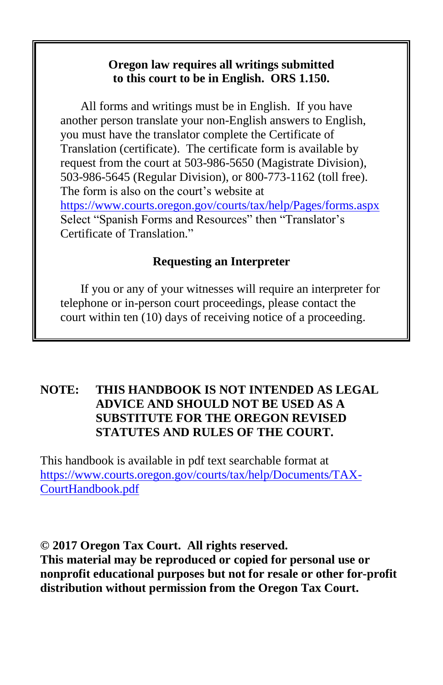## **Oregon law requires all writings submitted to this court to be in English. ORS 1.150.**

All forms and writings must be in English. If you have another person translate your non-English answers to English, you must have the translator complete the Certificate of Translation (certificate). The certificate form is available by request from the court at 503-986-5650 (Magistrate Division), 503-986-5645 (Regular Division), or 800-773-1162 (toll free). The form is also on the court's website at <https://www.courts.oregon.gov/courts/tax/help/Pages/forms.aspx> Select "Spanish Forms and Resources" then "Translator's Certificate of Translation."

# **Requesting an Interpreter**

If you or any of your witnesses will require an interpreter for telephone or in-person court proceedings, please contact the court within ten (10) days of receiving notice of a proceeding.

# **NOTE: THIS HANDBOOK IS NOT INTENDED AS LEGAL ADVICE AND SHOULD NOT BE USED AS A SUBSTITUTE FOR THE OREGON REVISED STATUTES AND RULES OF THE COURT.**

This handbook is available in pdf text searchable format at [https://www.courts.oregon.gov/courts/tax/help/Documents/TAX-](https://www.courts.oregon.gov/courts/tax/help/Documents/TAX-CourtHandbook.pdf)[CourtHandbook.pdf](https://www.courts.oregon.gov/courts/tax/help/Documents/TAX-CourtHandbook.pdf)

**© 2017 Oregon Tax Court. All rights reserved. This material may be reproduced or copied for personal use or nonprofit educational purposes but not for resale or other for-profit distribution without permission from the Oregon Tax Court.**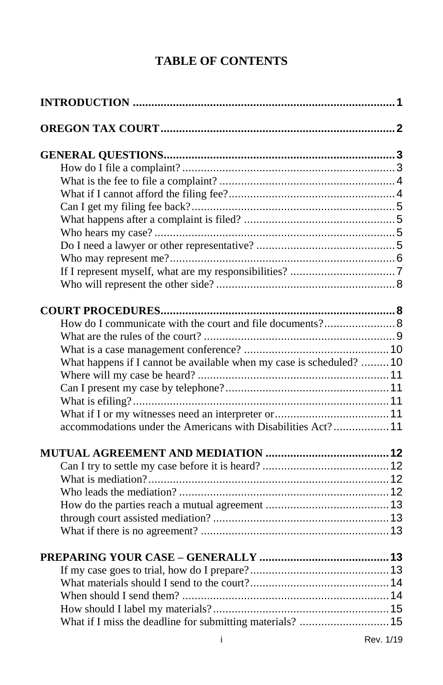# **TABLE OF CONTENTS**

| What happens if I cannot be available when my case is scheduled?  10 |  |
|----------------------------------------------------------------------|--|
|                                                                      |  |
|                                                                      |  |
|                                                                      |  |
|                                                                      |  |
| accommodations under the Americans with Disabilities Act? 11         |  |
|                                                                      |  |
|                                                                      |  |
|                                                                      |  |
|                                                                      |  |
|                                                                      |  |
|                                                                      |  |
|                                                                      |  |
|                                                                      |  |
|                                                                      |  |
|                                                                      |  |
|                                                                      |  |
|                                                                      |  |
|                                                                      |  |
|                                                                      |  |
|                                                                      |  |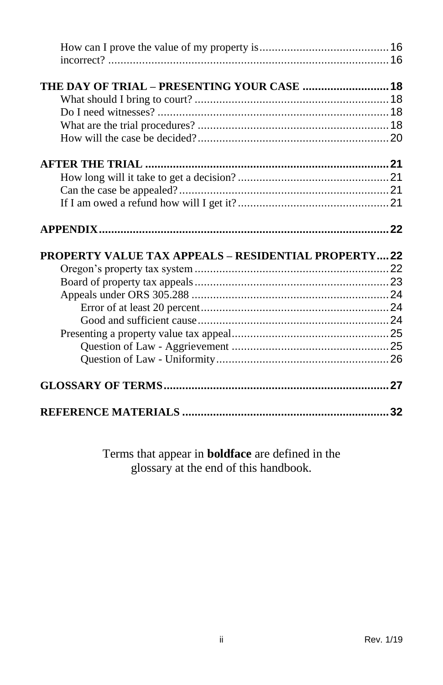| THE DAY OF TRIAL - PRESENTING YOUR CASE  18                |  |
|------------------------------------------------------------|--|
|                                                            |  |
|                                                            |  |
|                                                            |  |
|                                                            |  |
|                                                            |  |
|                                                            |  |
|                                                            |  |
|                                                            |  |
|                                                            |  |
|                                                            |  |
| <b>PROPERTY VALUE TAX APPEALS - RESIDENTIAL PROPERTY22</b> |  |
|                                                            |  |
|                                                            |  |
|                                                            |  |
|                                                            |  |
|                                                            |  |
|                                                            |  |
|                                                            |  |
|                                                            |  |
|                                                            |  |

Terms that appear in **boldface** are defined in the glossary at the end of this handbook.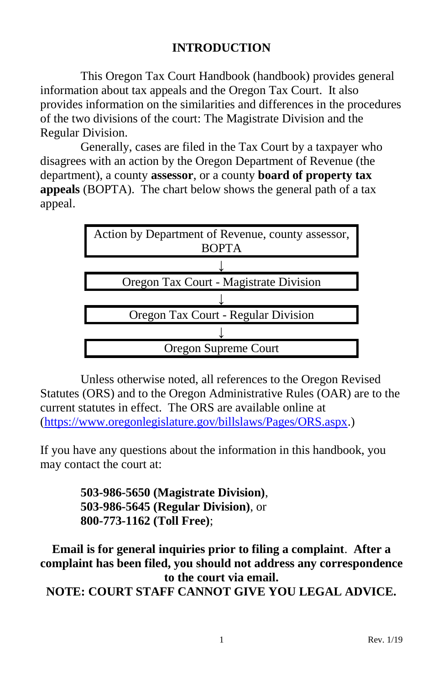# **INTRODUCTION**

<span id="page-4-0"></span>This Oregon Tax Court Handbook (handbook) provides general information about tax appeals and the Oregon Tax Court. It also provides information on the similarities and differences in the procedures of the two divisions of the court: The Magistrate Division and the Regular Division.

Generally, cases are filed in the Tax Court by a taxpayer who disagrees with an action by the Oregon Department of Revenue (the department), a county **assessor**, or a county **board of property tax appeals** (BOPTA). The chart below shows the general path of a tax appeal.



Unless otherwise noted, all references to the Oregon Revised Statutes (ORS) and to the Oregon Administrative Rules (OAR) are to the current statutes in effect. The ORS are available online at [\(https://www.oregonlegislature.gov/billslaws/Pages/ORS.aspx.](https://www.oregonlegislature.gov/billslaws/Pages/ORS.aspx))

If you have any questions about the information in this handbook, you may contact the court at:

> **503-986-5650 (Magistrate Division)**, **503-986-5645 (Regular Division)**, or **800-773-1162 (Toll Free)**;

**Email is for general inquiries prior to filing a complaint**. **After a complaint has been filed, you should not address any correspondence to the court via email. NOTE: COURT STAFF CANNOT GIVE YOU LEGAL ADVICE.**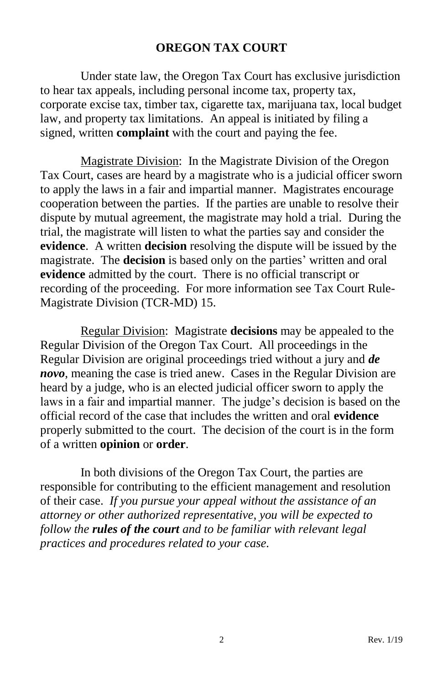## **OREGON TAX COURT**

<span id="page-5-0"></span>Under state law, the Oregon Tax Court has exclusive jurisdiction to hear tax appeals, including personal income tax, property tax, corporate excise tax, timber tax, cigarette tax, marijuana tax, local budget law, and property tax limitations. An appeal is initiated by filing a signed, written **complaint** with the court and paying the fee.

Magistrate Division: In the Magistrate Division of the Oregon Tax Court, cases are heard by a magistrate who is a judicial officer sworn to apply the laws in a fair and impartial manner. Magistrates encourage cooperation between the parties. If the parties are unable to resolve their dispute by mutual agreement, the magistrate may hold a trial. During the trial, the magistrate will listen to what the parties say and consider the **evidence**. A written **decision** resolving the dispute will be issued by the magistrate. The **decision** is based only on the parties' written and oral **evidence** admitted by the court. There is no official transcript or recording of the proceeding. For more information see Tax Court Rule-Magistrate Division (TCR-MD) 15.

Regular Division: Magistrate **decisions** may be appealed to the Regular Division of the Oregon Tax Court. All proceedings in the Regular Division are original proceedings tried without a jury and *de novo*, meaning the case is tried anew. Cases in the Regular Division are heard by a judge, who is an elected judicial officer sworn to apply the laws in a fair and impartial manner. The judge's decision is based on the official record of the case that includes the written and oral **evidence** properly submitted to the court. The decision of the court is in the form of a written **opinion** or **order**.

In both divisions of the Oregon Tax Court, the parties are responsible for contributing to the efficient management and resolution of their case. *If you pursue your appeal without the assistance of an attorney or other authorized representative, you will be expected to follow the rules of the court and to be familiar with relevant legal practices and procedures related to your case.*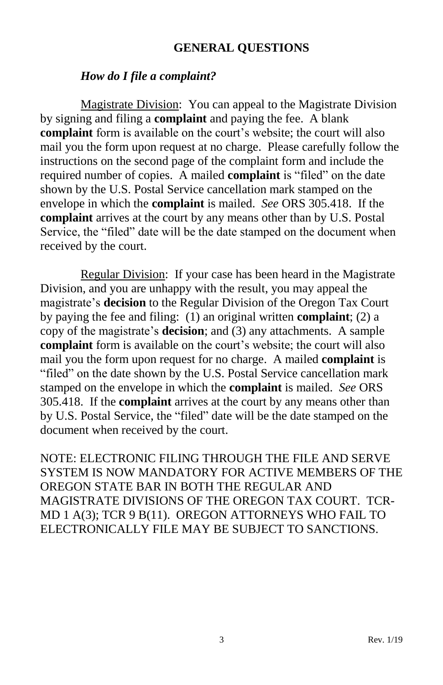#### **GENERAL QUESTIONS**

#### <span id="page-6-0"></span>*How do I file a complaint?*

<span id="page-6-1"></span>Magistrate Division: You can appeal to the Magistrate Division by signing and filing a **complaint** and paying the fee. A blank **complaint** form is available on the court's website; the court will also mail you the form upon request at no charge. Please carefully follow the instructions on the second page of the complaint form and include the required number of copies. A mailed **complaint** is "filed" on the date shown by the U.S. Postal Service cancellation mark stamped on the envelope in which the **complaint** is mailed. *See* ORS 305.418. If the **complaint** arrives at the court by any means other than by U.S. Postal Service, the "filed" date will be the date stamped on the document when received by the court.

Regular Division: If your case has been heard in the Magistrate Division, and you are unhappy with the result, you may appeal the magistrate's **decision** to the Regular Division of the Oregon Tax Court by paying the fee and filing: (1) an original written **complaint**; (2) a copy of the magistrate's **decision**; and (3) any attachments. A sample **complaint** form is available on the court's website; the court will also mail you the form upon request for no charge. A mailed **complaint** is "filed" on the date shown by the U.S. Postal Service cancellation mark stamped on the envelope in which the **complaint** is mailed. *See* ORS 305.418. If the **complaint** arrives at the court by any means other than by U.S. Postal Service, the "filed" date will be the date stamped on the document when received by the court.

NOTE: ELECTRONIC FILING THROUGH THE FILE AND SERVE SYSTEM IS NOW MANDATORY FOR ACTIVE MEMBERS OF THE OREGON STATE BAR IN BOTH THE REGULAR AND MAGISTRATE DIVISIONS OF THE OREGON TAX COURT. TCR-MD 1 A(3); TCR 9 B(11). OREGON ATTORNEYS WHO FAIL TO ELECTRONICALLY FILE MAY BE SUBJECT TO SANCTIONS.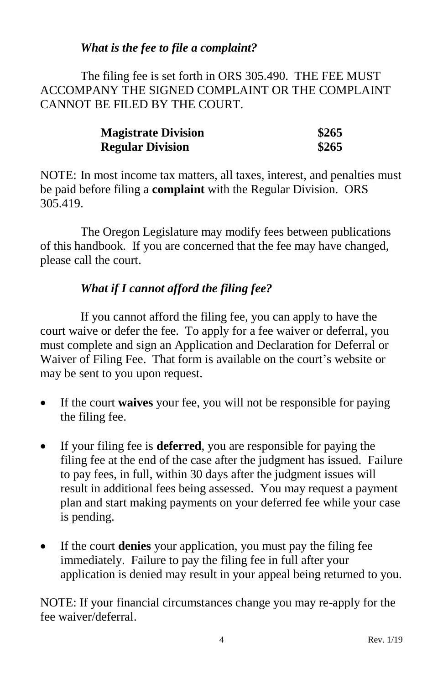# *What is the fee to file a complaint?*

<span id="page-7-0"></span>The filing fee is set forth in ORS 305.490. THE FEE MUST ACCOMPANY THE SIGNED COMPLAINT OR THE COMPLAINT CANNOT BE FILED BY THE COURT.

| <b>Magistrate Division</b> | \$265 |
|----------------------------|-------|
| <b>Regular Division</b>    | \$265 |

NOTE: In most income tax matters, all taxes, interest, and penalties must be paid before filing a **complaint** with the Regular Division. ORS 305.419.

The Oregon Legislature may modify fees between publications of this handbook. If you are concerned that the fee may have changed, please call the court.

# *What if I cannot afford the filing fee?*

<span id="page-7-1"></span>If you cannot afford the filing fee, you can apply to have the court waive or defer the fee. To apply for a fee waiver or deferral, you must complete and sign an Application and Declaration for Deferral or Waiver of Filing Fee. That form is available on the court's website or may be sent to you upon request.

- If the court **waives** your fee, you will not be responsible for paying the filing fee.
- If your filing fee is **deferred**, you are responsible for paying the filing fee at the end of the case after the judgment has issued. Failure to pay fees, in full, within 30 days after the judgment issues will result in additional fees being assessed. You may request a payment plan and start making payments on your deferred fee while your case is pending.
- If the court **denies** your application, you must pay the filing fee immediately. Failure to pay the filing fee in full after your application is denied may result in your appeal being returned to you.

NOTE: If your financial circumstances change you may re-apply for the fee waiver/deferral.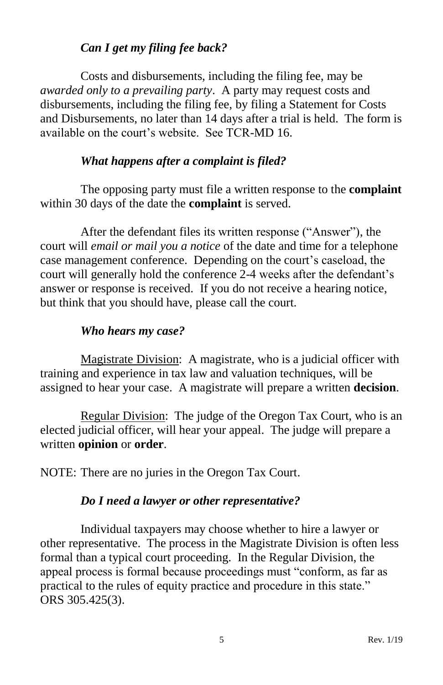# *Can I get my filing fee back?*

<span id="page-8-0"></span>Costs and disbursements, including the filing fee, may be *awarded only to a prevailing party*. A party may request costs and disbursements, including the filing fee, by filing a Statement for Costs and Disbursements, no later than 14 days after a trial is held. The form is available on the court's website. See TCR-MD 16.

# *What happens after a complaint is filed?*

<span id="page-8-1"></span>The opposing party must file a written response to the **complaint** within 30 days of the date the **complaint** is served.

After the defendant files its written response ("Answer"), the court will *email or mail you a notice* of the date and time for a telephone case management conference. Depending on the court's caseload, the court will generally hold the conference 2-4 weeks after the defendant's answer or response is received. If you do not receive a hearing notice, but think that you should have, please call the court.

# *Who hears my case?*

<span id="page-8-2"></span>Magistrate Division: A magistrate, who is a judicial officer with training and experience in tax law and valuation techniques, will be assigned to hear your case. A magistrate will prepare a written **decision**.

Regular Division: The judge of the Oregon Tax Court, who is an elected judicial officer, will hear your appeal. The judge will prepare a written **opinion** or **order**.

<span id="page-8-3"></span>NOTE: There are no juries in the Oregon Tax Court.

#### *Do I need a lawyer or other representative?*

Individual taxpayers may choose whether to hire a lawyer or other representative. The process in the Magistrate Division is often less formal than a typical court proceeding. In the Regular Division, the appeal process is formal because proceedings must "conform, as far as practical to the rules of equity practice and procedure in this state." ORS 305.425(3).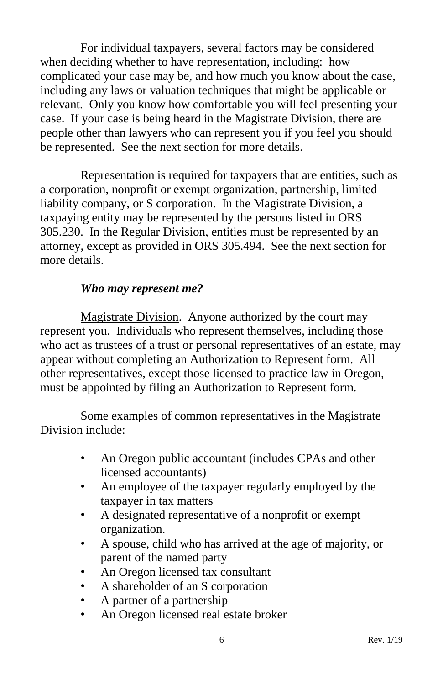For individual taxpayers, several factors may be considered when deciding whether to have representation, including: how complicated your case may be, and how much you know about the case, including any laws or valuation techniques that might be applicable or relevant. Only you know how comfortable you will feel presenting your case. If your case is being heard in the Magistrate Division, there are people other than lawyers who can represent you if you feel you should be represented. See the next section for more details.

Representation is required for taxpayers that are entities, such as a corporation, nonprofit or exempt organization, partnership, limited liability company, or S corporation. In the Magistrate Division, a taxpaying entity may be represented by the persons listed in ORS 305.230. In the Regular Division, entities must be represented by an attorney, except as provided in ORS 305.494. See the next section for more details.

# *Who may represent me?*

<span id="page-9-0"></span>Magistrate Division. Anyone authorized by the court may represent you. Individuals who represent themselves, including those who act as trustees of a trust or personal representatives of an estate, may appear without completing an Authorization to Represent form. All other representatives, except those licensed to practice law in Oregon, must be appointed by filing an Authorization to Represent form.

Some examples of common representatives in the Magistrate Division include:

- An Oregon public accountant (includes CPAs and other licensed accountants)
- An employee of the taxpayer regularly employed by the taxpayer in tax matters
- A designated representative of a nonprofit or exempt organization.
- A spouse, child who has arrived at the age of majority, or parent of the named party
- An Oregon licensed tax consultant
- A shareholder of an S corporation
- A partner of a partnership
- An Oregon licensed real estate broker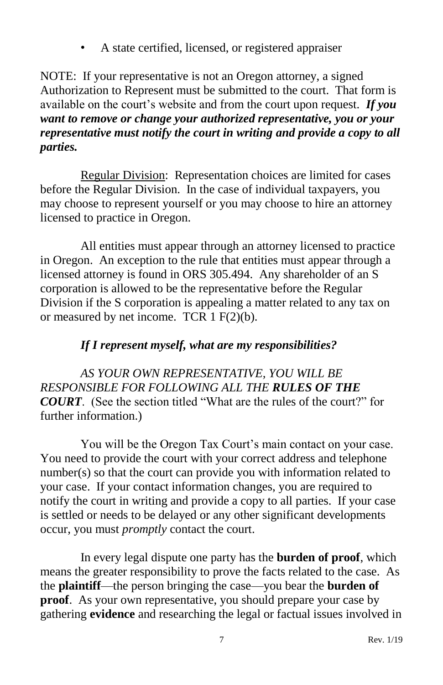• A state certified, licensed, or registered appraiser

NOTE: If your representative is not an Oregon attorney, a signed Authorization to Represent must be submitted to the court. That form is available on the court's website and from the court upon request. *If you want to remove or change your authorized representative, you or your representative must notify the court in writing and provide a copy to all parties.*

Regular Division: Representation choices are limited for cases before the Regular Division. In the case of individual taxpayers, you may choose to represent yourself or you may choose to hire an attorney licensed to practice in Oregon.

All entities must appear through an attorney licensed to practice in Oregon. An exception to the rule that entities must appear through a licensed attorney is found in ORS 305.494. Any shareholder of an S corporation is allowed to be the representative before the Regular Division if the S corporation is appealing a matter related to any tax on or measured by net income. TCR  $1 F(2)(b)$ .

# *If I represent myself, what are my responsibilities?*

<span id="page-10-0"></span>*AS YOUR OWN REPRESENTATIVE, YOU WILL BE RESPONSIBLE FOR FOLLOWING ALL THE RULES OF THE COURT*. (See the section titled "What are the rules of the court?" for further information.)

You will be the Oregon Tax Court's main contact on your case. You need to provide the court with your correct address and telephone number(s) so that the court can provide you with information related to your case. If your contact information changes, you are required to notify the court in writing and provide a copy to all parties. If your case is settled or needs to be delayed or any other significant developments occur, you must *promptly* contact the court.

In every legal dispute one party has the **burden of proof**, which means the greater responsibility to prove the facts related to the case. As the **plaintiff**—the person bringing the case—you bear the **burden of proof.** As your own representative, you should prepare your case by gathering **evidence** and researching the legal or factual issues involved in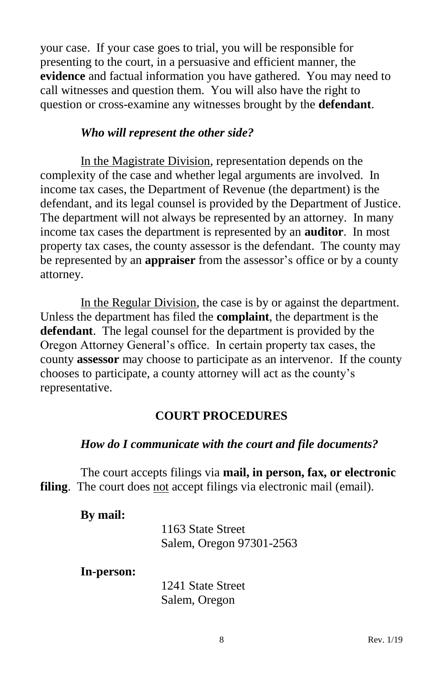your case. If your case goes to trial, you will be responsible for presenting to the court, in a persuasive and efficient manner, the **evidence** and factual information you have gathered. You may need to call witnesses and question them. You will also have the right to question or cross-examine any witnesses brought by the **defendant**.

#### *Who will represent the other side?*

<span id="page-11-0"></span>In the Magistrate Division, representation depends on the complexity of the case and whether legal arguments are involved. In income tax cases, the Department of Revenue (the department) is the defendant, and its legal counsel is provided by the Department of Justice. The department will not always be represented by an attorney. In many income tax cases the department is represented by an **auditor**. In most property tax cases, the county assessor is the defendant. The county may be represented by an **appraiser** from the assessor's office or by a county attorney.

In the Regular Division, the case is by or against the department. Unless the department has filed the **complaint**, the department is the **defendant**. The legal counsel for the department is provided by the Oregon Attorney General's office. In certain property tax cases, the county **assessor** may choose to participate as an intervenor. If the county chooses to participate, a county attorney will act as the county's representative.

#### **COURT PROCEDURES**

## <span id="page-11-1"></span>*How do I communicate with the court and file documents?*

<span id="page-11-2"></span>The court accepts filings via **mail, in person, fax, or electronic filing**. The court does not accept filings via electronic mail (email).

#### **By mail:**

1163 State Street Salem, Oregon 97301-2563

**In-person:**

1241 State Street Salem, Oregon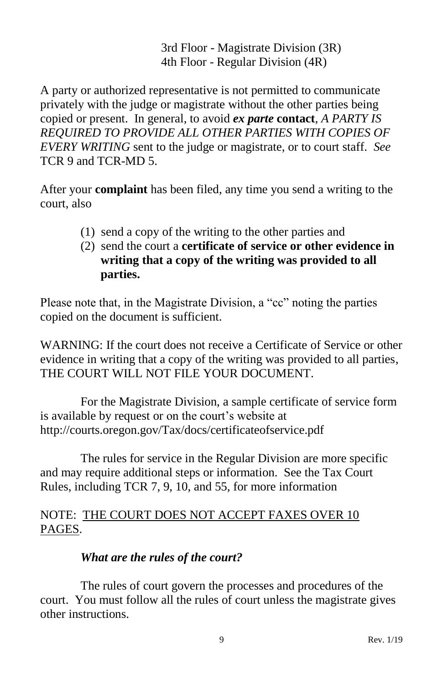3rd Floor - Magistrate Division (3R) 4th Floor - Regular Division (4R)

A party or authorized representative is not permitted to communicate privately with the judge or magistrate without the other parties being copied or present. In general, to avoid *ex parte* **contact**, *A PARTY IS REQUIRED TO PROVIDE ALL OTHER PARTIES WITH COPIES OF EVERY WRITING* sent to the judge or magistrate, or to court staff. *See* TCR 9 and TCR-MD 5.

After your **complaint** has been filed, any time you send a writing to the court, also

- (1) send a copy of the writing to the other parties and
- (2) send the court a **certificate of service or other evidence in writing that a copy of the writing was provided to all parties.**

Please note that, in the Magistrate Division, a "cc" noting the parties copied on the document is sufficient.

WARNING: If the court does not receive a Certificate of Service or other evidence in writing that a copy of the writing was provided to all parties, THE COURT WILL NOT FILE YOUR DOCUMENT.

For the Magistrate Division, a sample certificate of service form is available by request or on the court's website at http://courts.oregon.gov/Tax/docs/certificateofservice.pdf

The rules for service in the Regular Division are more specific and may require additional steps or information. See the Tax Court Rules, including TCR 7, 9, 10, and 55, for more information

# NOTE: THE COURT DOES NOT ACCEPT FAXES OVER 10 PAGES.

# *What are the rules of the court?*

<span id="page-12-0"></span>The rules of court govern the processes and procedures of the court. You must follow all the rules of court unless the magistrate gives other instructions.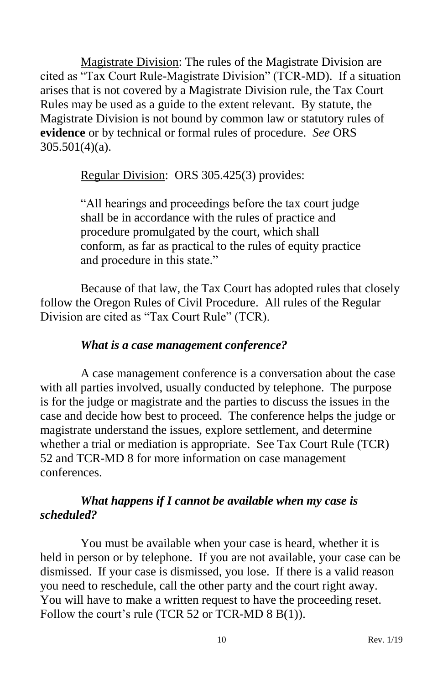Magistrate Division: The rules of the Magistrate Division are cited as "Tax Court Rule-Magistrate Division" (TCR-MD). If a situation arises that is not covered by a Magistrate Division rule, the Tax Court Rules may be used as a guide to the extent relevant. By statute, the Magistrate Division is not bound by common law or statutory rules of **evidence** or by technical or formal rules of procedure. *See* ORS 305.501(4)(a).

Regular Division: ORS 305.425(3) provides:

"All hearings and proceedings before the tax court judge shall be in accordance with the rules of practice and procedure promulgated by the court, which shall conform, as far as practical to the rules of equity practice and procedure in this state."

Because of that law, the Tax Court has adopted rules that closely follow the Oregon Rules of Civil Procedure. All rules of the Regular Division are cited as "Tax Court Rule" (TCR).

## *What is a case management conference?*

<span id="page-13-0"></span>A case management conference is a conversation about the case with all parties involved, usually conducted by telephone. The purpose is for the judge or magistrate and the parties to discuss the issues in the case and decide how best to proceed. The conference helps the judge or magistrate understand the issues, explore settlement, and determine whether a trial or mediation is appropriate. See Tax Court Rule (TCR) 52 and TCR-MD 8 for more information on case management conferences.

# <span id="page-13-1"></span>*What happens if I cannot be available when my case is scheduled?*

You must be available when your case is heard, whether it is held in person or by telephone. If you are not available, your case can be dismissed. If your case is dismissed, you lose. If there is a valid reason you need to reschedule, call the other party and the court right away. You will have to make a written request to have the proceeding reset. Follow the court's rule (TCR 52 or TCR-MD 8 B(1)).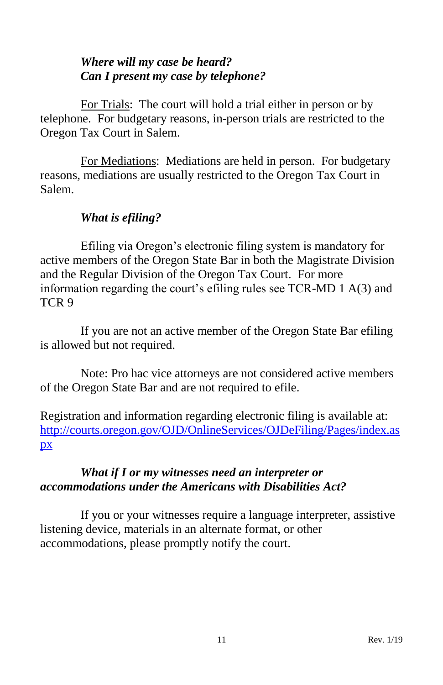# <span id="page-14-0"></span>*Where will my case be heard? Can I present my case by telephone?*

<span id="page-14-1"></span>For Trials: The court will hold a trial either in person or by telephone. For budgetary reasons, in-person trials are restricted to the Oregon Tax Court in Salem.

For Mediations: Mediations are held in person. For budgetary reasons, mediations are usually restricted to the Oregon Tax Court in Salem.

# *What is efiling?*

<span id="page-14-2"></span>Efiling via Oregon's electronic filing system is mandatory for active members of the Oregon State Bar in both the Magistrate Division and the Regular Division of the Oregon Tax Court. For more information regarding the court's efiling rules see TCR-MD 1 A(3) and TCR 9

If you are not an active member of the Oregon State Bar efiling is allowed but not required.

Note: Pro hac vice attorneys are not considered active members of the Oregon State Bar and are not required to efile.

Registration and information regarding electronic filing is available at: [http://courts.oregon.gov/OJD/OnlineServices/OJDeFiling/Pages/index.as](http://courts.oregon.gov/OJD/OnlineServices/OJDeFiling/Pages/index.aspx) [px](http://courts.oregon.gov/OJD/OnlineServices/OJDeFiling/Pages/index.aspx)

# <span id="page-14-4"></span><span id="page-14-3"></span>*What if I or my witnesses need an interpreter or accommodations under the Americans with Disabilities Act?*

If you or your witnesses require a language interpreter, assistive listening device, materials in an alternate format, or other accommodations, please promptly notify the court.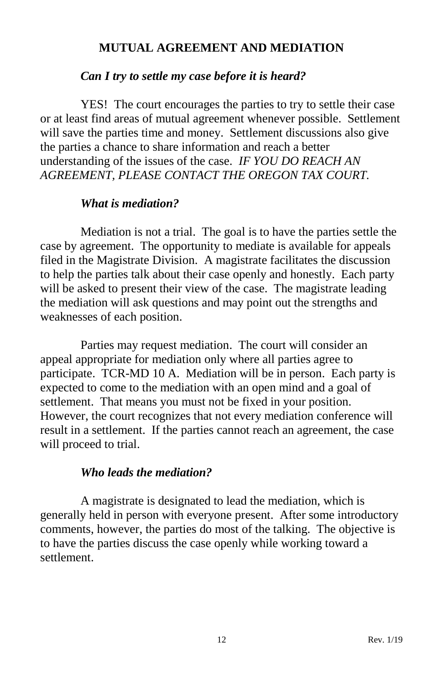#### **MUTUAL AGREEMENT AND MEDIATION**

#### <span id="page-15-0"></span>*Can I try to settle my case before it is heard?*

<span id="page-15-1"></span>YES! The court encourages the parties to try to settle their case or at least find areas of mutual agreement whenever possible. Settlement will save the parties time and money. Settlement discussions also give the parties a chance to share information and reach a better understanding of the issues of the case. *IF YOU DO REACH AN AGREEMENT, PLEASE CONTACT THE OREGON TAX COURT.*

#### *What is mediation?*

<span id="page-15-2"></span>Mediation is not a trial. The goal is to have the parties settle the case by agreement. The opportunity to mediate is available for appeals filed in the Magistrate Division. A magistrate facilitates the discussion to help the parties talk about their case openly and honestly. Each party will be asked to present their view of the case. The magistrate leading the mediation will ask questions and may point out the strengths and weaknesses of each position.

Parties may request mediation. The court will consider an appeal appropriate for mediation only where all parties agree to participate. TCR-MD 10 A. Mediation will be in person. Each party is expected to come to the mediation with an open mind and a goal of settlement. That means you must not be fixed in your position. However, the court recognizes that not every mediation conference will result in a settlement. If the parties cannot reach an agreement, the case will proceed to trial.

#### *Who leads the mediation?*

<span id="page-15-3"></span>A magistrate is designated to lead the mediation, which is generally held in person with everyone present. After some introductory comments, however, the parties do most of the talking. The objective is to have the parties discuss the case openly while working toward a settlement.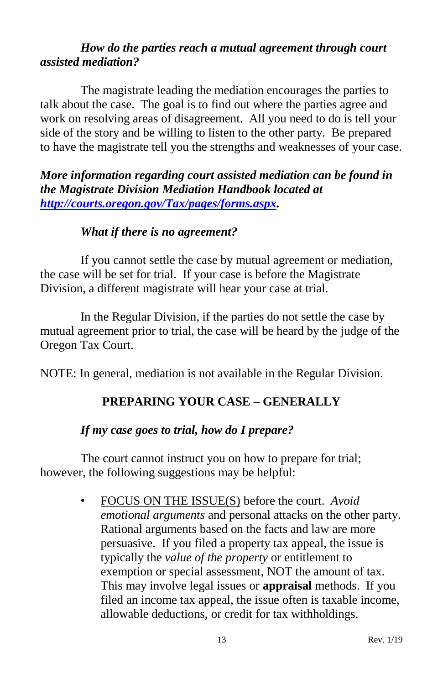# <span id="page-16-1"></span><span id="page-16-0"></span>*How do the parties reach a mutual agreement through court assisted mediation?*

The magistrate leading the mediation encourages the parties to talk about the case. The goal is to find out where the parties agree and work on resolving areas of disagreement. All you need to do is tell your side of the story and be willing to listen to the other party. Be prepared to have the magistrate tell you the strengths and weaknesses of your case.

*More information regarding court assisted mediation can be found in the Magistrate Division Mediation Handbook located at [http://courts.oregon.gov/Tax/pages/forms.aspx.](http://courts.oregon.gov/Tax/pages/forms.aspx)*

#### *What if there is no agreement?*

<span id="page-16-2"></span>If you cannot settle the case by mutual agreement or mediation, the case will be set for trial. If your case is before the Magistrate Division, a different magistrate will hear your case at trial.

In the Regular Division, if the parties do not settle the case by mutual agreement prior to trial, the case will be heard by the judge of the Oregon Tax Court.

<span id="page-16-3"></span>NOTE: In general, mediation is not available in the Regular Division.

# **PREPARING YOUR CASE – GENERALLY**

# *If my case goes to trial, how do I prepare?*

<span id="page-16-4"></span>The court cannot instruct you on how to prepare for trial; however, the following suggestions may be helpful:

> • FOCUS ON THE ISSUE(S) before the court. *Avoid emotional arguments* and personal attacks on the other party. Rational arguments based on the facts and law are more persuasive. If you filed a property tax appeal, the issue is typically the *value of the property* or entitlement to exemption or special assessment, NOT the amount of tax. This may involve legal issues or **appraisal** methods. If you filed an income tax appeal, the issue often is taxable income, allowable deductions, or credit for tax withholdings.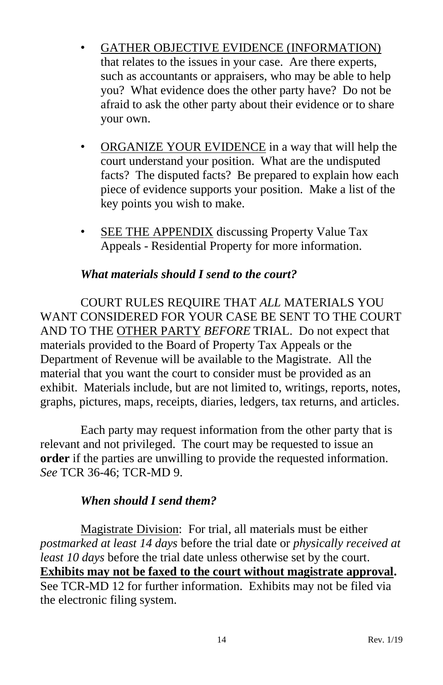- GATHER OBJECTIVE EVIDENCE (INFORMATION) that relates to the issues in your case. Are there experts, such as accountants or appraisers, who may be able to help you? What evidence does the other party have? Do not be afraid to ask the other party about their evidence or to share your own.
- ORGANIZE YOUR EVIDENCE in a way that will help the court understand your position. What are the undisputed facts? The disputed facts? Be prepared to explain how each piece of evidence supports your position. Make a list of the key points you wish to make.
- SEE THE APPENDIX discussing Property Value Tax Appeals - Residential Property for more information.

#### *What materials should I send to the court?*

<span id="page-17-0"></span>COURT RULES REQUIRE THAT *ALL* MATERIALS YOU WANT CONSIDERED FOR YOUR CASE BE SENT TO THE COURT AND TO THE OTHER PARTY *BEFORE* TRIAL. Do not expect that materials provided to the Board of Property Tax Appeals or the Department of Revenue will be available to the Magistrate. All the material that you want the court to consider must be provided as an exhibit. Materials include, but are not limited to, writings, reports, notes, graphs, pictures, maps, receipts, diaries, ledgers, tax returns, and articles.

Each party may request information from the other party that is relevant and not privileged. The court may be requested to issue an **order** if the parties are unwilling to provide the requested information. *See* TCR 36-46; TCR-MD 9.

#### *When should I send them?*

<span id="page-17-1"></span>Magistrate Division: For trial, all materials must be either *postmarked at least 14 days* before the trial date or *physically received at least 10 days* before the trial date unless otherwise set by the court. **Exhibits may not be faxed to the court without magistrate approval.**  See TCR-MD 12 for further information. Exhibits may not be filed via the electronic filing system.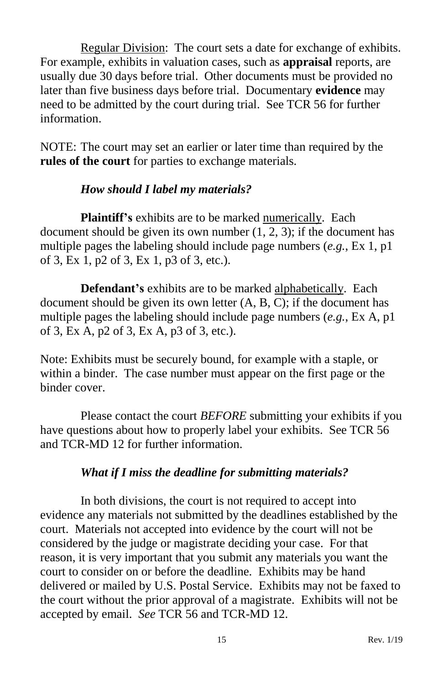Regular Division: The court sets a date for exchange of exhibits. For example, exhibits in valuation cases, such as **appraisal** reports, are usually due 30 days before trial. Other documents must be provided no later than five business days before trial. Documentary **evidence** may need to be admitted by the court during trial. See TCR 56 for further information.

NOTE: The court may set an earlier or later time than required by the **rules of the court** for parties to exchange materials.

#### *How should I label my materials?*

<span id="page-18-0"></span>Plaintiff's exhibits are to be marked numerically. Each document should be given its own number (1, 2, 3); if the document has multiple pages the labeling should include page numbers (*e.g.*, Ex 1, p1 of 3, Ex 1, p2 of 3, Ex 1, p3 of 3, etc.).

**Defendant's** exhibits are to be marked alphabetically. Each document should be given its own letter  $(A, B, C)$ ; if the document has multiple pages the labeling should include page numbers (*e.g.*, Ex A, p1 of 3, Ex A, p2 of 3, Ex A, p3 of 3, etc.).

Note: Exhibits must be securely bound, for example with a staple, or within a binder. The case number must appear on the first page or the binder cover.

Please contact the court *BEFORE* submitting your exhibits if you have questions about how to properly label your exhibits. See TCR 56 and TCR-MD 12 for further information.

# *What if I miss the deadline for submitting materials?*

<span id="page-18-1"></span>In both divisions, the court is not required to accept into evidence any materials not submitted by the deadlines established by the court. Materials not accepted into evidence by the court will not be considered by the judge or magistrate deciding your case. For that reason, it is very important that you submit any materials you want the court to consider on or before the deadline. Exhibits may be hand delivered or mailed by U.S. Postal Service. Exhibits may not be faxed to the court without the prior approval of a magistrate. Exhibits will not be accepted by email. *See* TCR 56 and TCR-MD 12.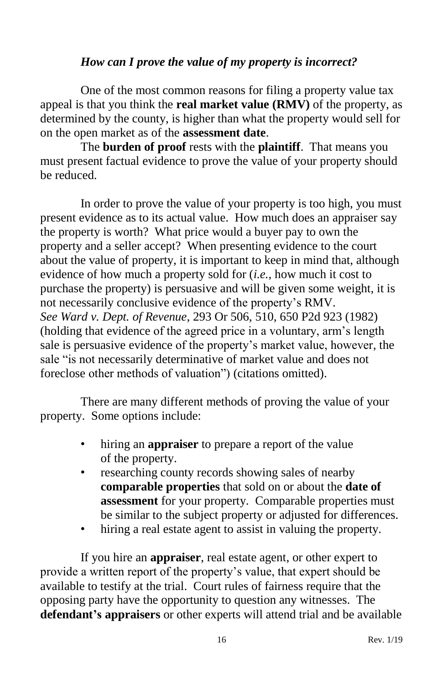## <span id="page-19-1"></span>*How can I prove the value of my property is incorrect?*

<span id="page-19-0"></span>One of the most common reasons for filing a property value tax appeal is that you think the **real market value (RMV)** of the property, as determined by the county, is higher than what the property would sell for on the open market as of the **assessment date**.

The **burden of proof** rests with the **plaintiff**. That means you must present factual evidence to prove the value of your property should be reduced.

In order to prove the value of your property is too high, you must present evidence as to its actual value. How much does an appraiser say the property is worth? What price would a buyer pay to own the property and a seller accept? When presenting evidence to the court about the value of property, it is important to keep in mind that, although evidence of how much a property sold for (*i.e.*, how much it cost to purchase the property) is persuasive and will be given some weight, it is not necessarily conclusive evidence of the property's RMV. *See Ward v. Dept. of Revenue*, 293 Or 506, 510, 650 P2d 923 (1982) (holding that evidence of the agreed price in a voluntary, arm's length sale is persuasive evidence of the property's market value, however, the sale "is not necessarily determinative of market value and does not foreclose other methods of valuation") (citations omitted).

There are many different methods of proving the value of your property. Some options include:

- hiring an **appraiser** to prepare a report of the value of the property.
- researching county records showing sales of nearby **comparable properties** that sold on or about the **date of assessment** for your property. Comparable properties must be similar to the subject property or adjusted for differences.
- hiring a real estate agent to assist in valuing the property.

If you hire an **appraiser**, real estate agent, or other expert to provide a written report of the property's value, that expert should be available to testify at the trial. Court rules of fairness require that the opposing party have the opportunity to question any witnesses. The **defendant's appraisers** or other experts will attend trial and be available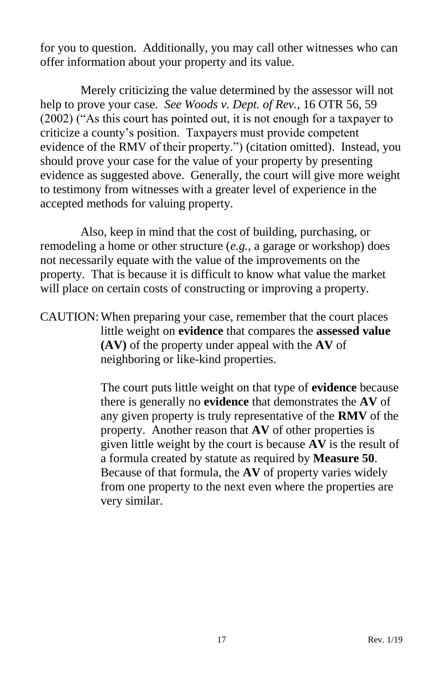for you to question. Additionally, you may call other witnesses who can offer information about your property and its value.

Merely criticizing the value determined by the assessor will not help to prove your case. *See Woods v. Dept. of Rev.*, 16 OTR 56, 59 (2002) ("As this court has pointed out, it is not enough for a taxpayer to criticize a county's position. Taxpayers must provide competent evidence of the RMV of their property.") (citation omitted). Instead, you should prove your case for the value of your property by presenting evidence as suggested above. Generally, the court will give more weight to testimony from witnesses with a greater level of experience in the accepted methods for valuing property.

Also, keep in mind that the cost of building, purchasing, or remodeling a home or other structure (*e.g.*, a garage or workshop) does not necessarily equate with the value of the improvements on the property. That is because it is difficult to know what value the market will place on certain costs of constructing or improving a property.

CAUTION:When preparing your case, remember that the court places little weight on **evidence** that compares the **assessed value (AV)** of the property under appeal with the **AV** of neighboring or like-kind properties.

> The court puts little weight on that type of **evidence** because there is generally no **evidence** that demonstrates the **AV** of any given property is truly representative of the **RMV** of the property. Another reason that **AV** of other properties is given little weight by the court is because **AV** is the result of a formula created by statute as required by **Measure 50**. Because of that formula, the **AV** of property varies widely from one property to the next even where the properties are very similar.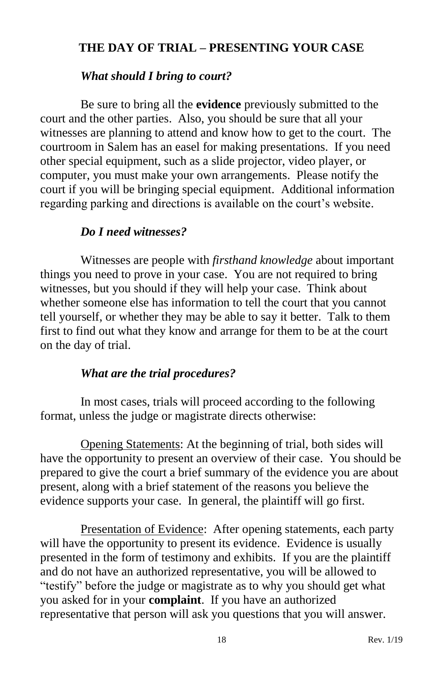# <span id="page-21-0"></span>**THE DAY OF TRIAL – PRESENTING YOUR CASE**

#### *What should I bring to court?*

<span id="page-21-1"></span>Be sure to bring all the **evidence** previously submitted to the court and the other parties. Also, you should be sure that all your witnesses are planning to attend and know how to get to the court. The courtroom in Salem has an easel for making presentations. If you need other special equipment, such as a slide projector, video player, or computer, you must make your own arrangements. Please notify the court if you will be bringing special equipment. Additional information regarding parking and directions is available on the court's website.

#### *Do I need witnesses?*

<span id="page-21-2"></span>Witnesses are people with *firsthand knowledge* about important things you need to prove in your case. You are not required to bring witnesses, but you should if they will help your case. Think about whether someone else has information to tell the court that you cannot tell yourself, or whether they may be able to say it better. Talk to them first to find out what they know and arrange for them to be at the court on the day of trial.

#### *What are the trial procedures?*

<span id="page-21-3"></span>In most cases, trials will proceed according to the following format, unless the judge or magistrate directs otherwise:

Opening Statements: At the beginning of trial, both sides will have the opportunity to present an overview of their case. You should be prepared to give the court a brief summary of the evidence you are about present, along with a brief statement of the reasons you believe the evidence supports your case. In general, the plaintiff will go first.

Presentation of Evidence: After opening statements, each party will have the opportunity to present its evidence. Evidence is usually presented in the form of testimony and exhibits. If you are the plaintiff and do not have an authorized representative, you will be allowed to "testify" before the judge or magistrate as to why you should get what you asked for in your **complaint**. If you have an authorized representative that person will ask you questions that you will answer.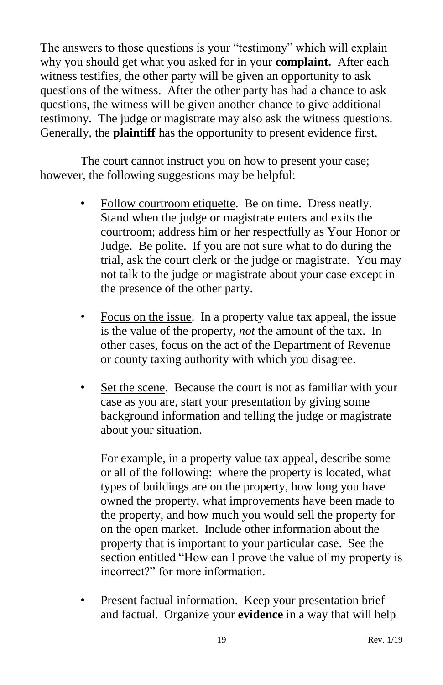The answers to those questions is your "testimony" which will explain why you should get what you asked for in your **complaint.** After each witness testifies, the other party will be given an opportunity to ask questions of the witness. After the other party has had a chance to ask questions, the witness will be given another chance to give additional testimony. The judge or magistrate may also ask the witness questions. Generally, the **plaintiff** has the opportunity to present evidence first.

The court cannot instruct you on how to present your case; however, the following suggestions may be helpful:

- Follow courtroom etiquette. Be on time. Dress neatly. Stand when the judge or magistrate enters and exits the courtroom; address him or her respectfully as Your Honor or Judge. Be polite. If you are not sure what to do during the trial, ask the court clerk or the judge or magistrate. You may not talk to the judge or magistrate about your case except in the presence of the other party.
- Focus on the issue. In a property value tax appeal, the issue is the value of the property, *not* the amount of the tax. In other cases, focus on the act of the Department of Revenue or county taxing authority with which you disagree.
- Set the scene. Because the court is not as familiar with your case as you are, start your presentation by giving some background information and telling the judge or magistrate about your situation.

For example, in a property value tax appeal, describe some or all of the following: where the property is located, what types of buildings are on the property, how long you have owned the property, what improvements have been made to the property, and how much you would sell the property for on the open market. Include other information about the property that is important to your particular case. See the section entitled "How can I prove the value of my property is incorrect?" for more information.

• Present factual information. Keep your presentation brief and factual. Organize your **evidence** in a way that will help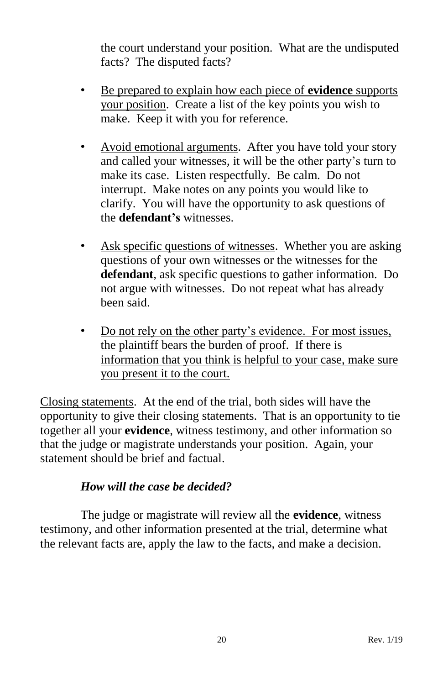the court understand your position. What are the undisputed facts? The disputed facts?

- Be prepared to explain how each piece of **evidence** supports your position. Create a list of the key points you wish to make. Keep it with you for reference.
- Avoid emotional arguments. After you have told your story and called your witnesses, it will be the other party's turn to make its case. Listen respectfully. Be calm. Do not interrupt. Make notes on any points you would like to clarify. You will have the opportunity to ask questions of the **defendant's** witnesses.
- Ask specific questions of witnesses. Whether you are asking questions of your own witnesses or the witnesses for the **defendant**, ask specific questions to gather information. Do not argue with witnesses. Do not repeat what has already been said.
- Do not rely on the other party's evidence. For most issues, the plaintiff bears the burden of proof. If there is information that you think is helpful to your case, make sure you present it to the court.

Closing statements. At the end of the trial, both sides will have the opportunity to give their closing statements. That is an opportunity to tie together all your **evidence**, witness testimony, and other information so that the judge or magistrate understands your position. Again, your statement should be brief and factual.

# *How will the case be decided?*

<span id="page-23-0"></span>The judge or magistrate will review all the **evidence**, witness testimony, and other information presented at the trial, determine what the relevant facts are, apply the law to the facts, and make a decision.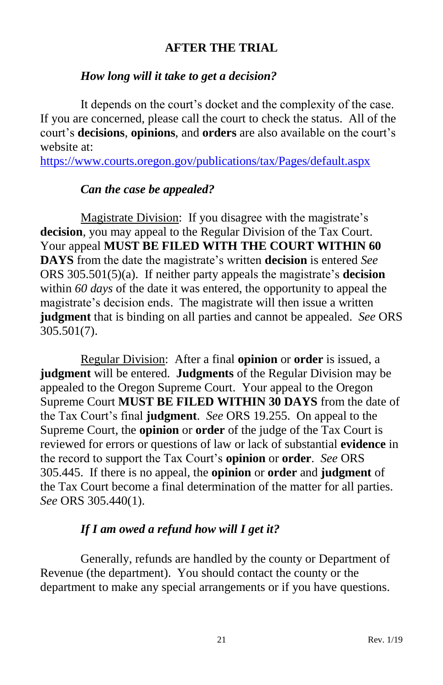# **AFTER THE TRIAL**

# <span id="page-24-0"></span>*How long will it take to get a decision?*

<span id="page-24-1"></span>It depends on the court's docket and the complexity of the case. If you are concerned, please call the court to check the status. All of the court's **decisions**, **opinions**, and **orders** are also available on the court's website at:

<span id="page-24-2"></span><https://www.courts.oregon.gov/publications/tax/Pages/default.aspx>

# *Can the case be appealed?*

Magistrate Division: If you disagree with the magistrate's **decision**, you may appeal to the Regular Division of the Tax Court. Your appeal **MUST BE FILED WITH THE COURT WITHIN 60 DAYS** from the date the magistrate's written **decision** is entered *See* ORS 305.501(5)(a). If neither party appeals the magistrate's **decision** within *60 days* of the date it was entered, the opportunity to appeal the magistrate's decision ends. The magistrate will then issue a written **judgment** that is binding on all parties and cannot be appealed. *See* ORS 305.501(7).

Regular Division: After a final **opinion** or **order** is issued, a **judgment** will be entered. **Judgments** of the Regular Division may be appealed to the Oregon Supreme Court. Your appeal to the Oregon Supreme Court **MUST BE FILED WITHIN 30 DAYS** from the date of the Tax Court's final **judgment**. *See* ORS 19.255. On appeal to the Supreme Court, the **opinion** or **order** of the judge of the Tax Court is reviewed for errors or questions of law or lack of substantial **evidence** in the record to support the Tax Court's **opinion** or **order**. *See* ORS 305.445. If there is no appeal, the **opinion** or **order** and **judgment** of the Tax Court become a final determination of the matter for all parties. *See* ORS 305.440(1).

# *If I am owed a refund how will I get it?*

<span id="page-24-3"></span>Generally, refunds are handled by the county or Department of Revenue (the department). You should contact the county or the department to make any special arrangements or if you have questions.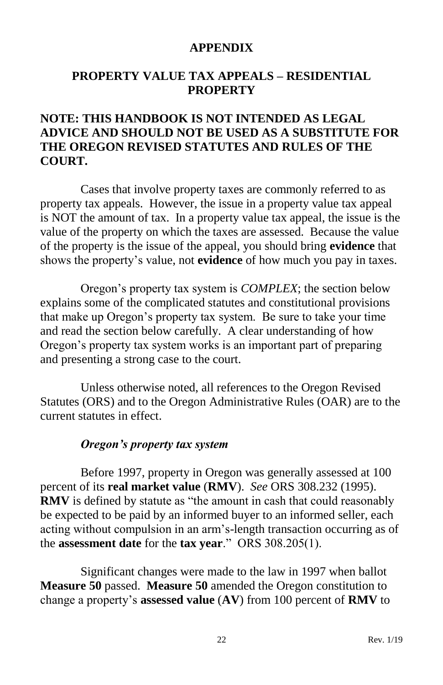#### **APPENDIX**

# <span id="page-25-1"></span><span id="page-25-0"></span>**PROPERTY VALUE TAX APPEALS – RESIDENTIAL PROPERTY**

# **NOTE: THIS HANDBOOK IS NOT INTENDED AS LEGAL ADVICE AND SHOULD NOT BE USED AS A SUBSTITUTE FOR THE OREGON REVISED STATUTES AND RULES OF THE COURT.**

Cases that involve property taxes are commonly referred to as property tax appeals. However, the issue in a property value tax appeal is NOT the amount of tax. In a property value tax appeal, the issue is the value of the property on which the taxes are assessed. Because the value of the property is the issue of the appeal, you should bring **evidence** that shows the property's value, not **evidence** of how much you pay in taxes.

Oregon's property tax system is *COMPLEX*; the section below explains some of the complicated statutes and constitutional provisions that make up Oregon's property tax system. Be sure to take your time and read the section below carefully. A clear understanding of how Oregon's property tax system works is an important part of preparing and presenting a strong case to the court.

Unless otherwise noted, all references to the Oregon Revised Statutes (ORS) and to the Oregon Administrative Rules (OAR) are to the current statutes in effect.

#### *Oregon's property tax system*

<span id="page-25-2"></span>Before 1997, property in Oregon was generally assessed at 100 percent of its **real market value** (**RMV**). *See* ORS 308.232 (1995). **RMV** is defined by statute as "the amount in cash that could reasonably be expected to be paid by an informed buyer to an informed seller, each acting without compulsion in an arm's-length transaction occurring as of the **assessment date** for the **tax year**." ORS 308.205(1).

Significant changes were made to the law in 1997 when ballot **Measure 50** passed. **Measure 50** amended the Oregon constitution to change a property's **assessed value** (**AV**) from 100 percent of **RMV** to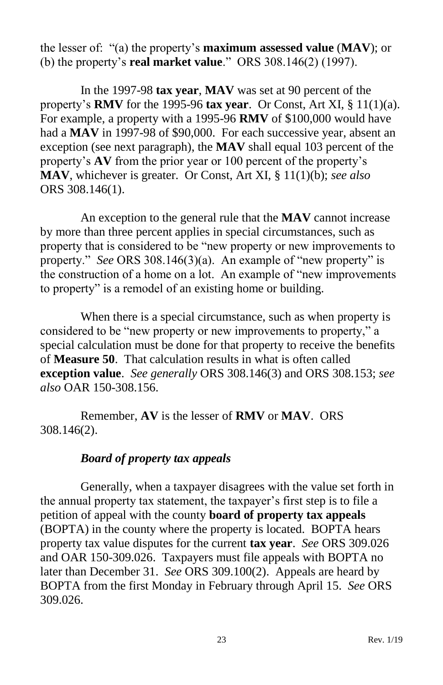the lesser of: "(a) the property's **maximum assessed value** (**MAV**); or (b) the property's **real market value**." ORS 308.146(2) (1997).

In the 1997-98 **tax year**, **MAV** was set at 90 percent of the property's **RMV** for the 1995-96 **tax year**. Or Const, Art XI, § 11(1)(a). For example, a property with a 1995-96 **RMV** of \$100,000 would have had a **MAV** in 1997-98 of \$90,000. For each successive year, absent an exception (see next paragraph), the **MAV** shall equal 103 percent of the property's **AV** from the prior year or 100 percent of the property's **MAV**, whichever is greater. Or Const, Art XI, § 11(1)(b); *see also* ORS 308.146(1).

An exception to the general rule that the **MAV** cannot increase by more than three percent applies in special circumstances, such as property that is considered to be "new property or new improvements to property." *See* ORS 308.146(3)(a). An example of "new property" is the construction of a home on a lot. An example of "new improvements to property" is a remodel of an existing home or building.

When there is a special circumstance, such as when property is considered to be "new property or new improvements to property," a special calculation must be done for that property to receive the benefits of **Measure 50**. That calculation results in what is often called **exception value**. *See generally* ORS 308.146(3) and ORS 308.153; *see also* OAR 150-308.156.

Remember, **AV** is the lesser of **RMV** or **MAV**. ORS 308.146(2).

#### *Board of property tax appeals*

<span id="page-26-0"></span>Generally, when a taxpayer disagrees with the value set forth in the annual property tax statement, the taxpayer's first step is to file a petition of appeal with the county **board of property tax appeals** (BOPTA) in the county where the property is located. BOPTA hears property tax value disputes for the current **tax year**. *See* ORS 309.026 and OAR 150-309.026. Taxpayers must file appeals with BOPTA no later than December 31. *See* ORS 309.100(2). Appeals are heard by BOPTA from the first Monday in February through April 15. *See* ORS 309.026.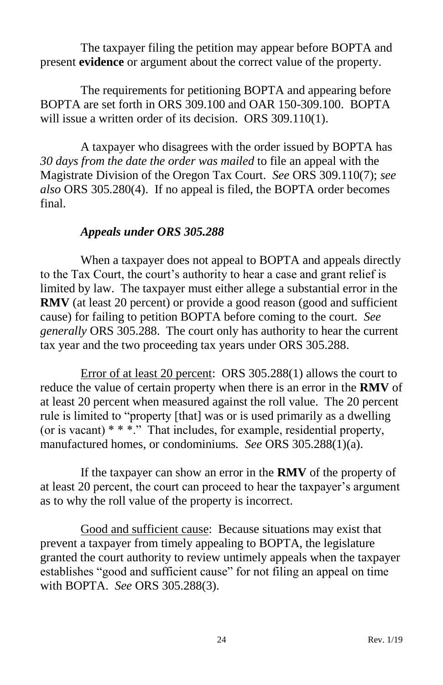The taxpayer filing the petition may appear before BOPTA and present **evidence** or argument about the correct value of the property.

The requirements for petitioning BOPTA and appearing before BOPTA are set forth in ORS 309.100 and OAR 150-309.100. BOPTA will issue a written order of its decision. ORS 309.110(1).

A taxpayer who disagrees with the order issued by BOPTA has *30 days from the date the order was mailed* to file an appeal with the Magistrate Division of the Oregon Tax Court. *See* ORS 309.110(7); *see also* ORS 305.280(4). If no appeal is filed, the BOPTA order becomes final.

#### *Appeals under ORS 305.288*

<span id="page-27-0"></span>When a taxpayer does not appeal to BOPTA and appeals directly to the Tax Court, the court's authority to hear a case and grant relief is limited by law. The taxpayer must either allege a substantial error in the **RMV** (at least 20 percent) or provide a good reason (good and sufficient cause) for failing to petition BOPTA before coming to the court. *See generally* ORS 305.288. The court only has authority to hear the current tax year and the two proceeding tax years under ORS 305.288.

<span id="page-27-1"></span>Error of at least 20 percent: ORS 305.288(1) allows the court to reduce the value of certain property when there is an error in the **RMV** of at least 20 percent when measured against the roll value. The 20 percent rule is limited to "property [that] was or is used primarily as a dwelling (or is vacant) \* \* \*." That includes, for example, residential property, manufactured homes, or condominiums*. See* ORS 305.288(1)(a).

If the taxpayer can show an error in the **RMV** of the property of at least 20 percent, the court can proceed to hear the taxpayer's argument as to why the roll value of the property is incorrect.

<span id="page-27-2"></span>Good and sufficient cause: Because situations may exist that prevent a taxpayer from timely appealing to BOPTA, the legislature granted the court authority to review untimely appeals when the taxpayer establishes "good and sufficient cause" for not filing an appeal on time with BOPTA. *See* ORS 305.288(3).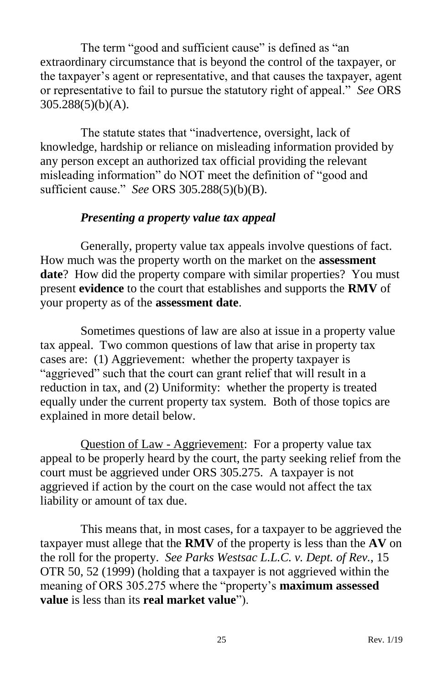The term "good and sufficient cause" is defined as "an extraordinary circumstance that is beyond the control of the taxpayer, or the taxpayer's agent or representative, and that causes the taxpayer, agent or representative to fail to pursue the statutory right of appeal." *See* ORS 305.288(5)(b)(A).

The statute states that "inadvertence, oversight, lack of knowledge, hardship or reliance on misleading information provided by any person except an authorized tax official providing the relevant misleading information" do NOT meet the definition of "good and sufficient cause." *See* ORS 305.288(5)(b)(B).

# *Presenting a property value tax appeal*

<span id="page-28-0"></span>Generally, property value tax appeals involve questions of fact. How much was the property worth on the market on the **assessment date**? How did the property compare with similar properties? You must present **evidence** to the court that establishes and supports the **RMV** of your property as of the **assessment date**.

Sometimes questions of law are also at issue in a property value tax appeal. Two common questions of law that arise in property tax cases are: (1) Aggrievement: whether the property taxpayer is "aggrieved" such that the court can grant relief that will result in a reduction in tax, and (2) Uniformity: whether the property is treated equally under the current property tax system. Both of those topics are explained in more detail below.

<span id="page-28-1"></span>Question of Law - Aggrievement: For a property value tax appeal to be properly heard by the court, the party seeking relief from the court must be aggrieved under ORS 305.275. A taxpayer is not aggrieved if action by the court on the case would not affect the tax liability or amount of tax due.

This means that, in most cases, for a taxpayer to be aggrieved the taxpayer must allege that the **RMV** of the property is less than the **AV** on the roll for the property. *See Parks Westsac L.L.C. v. Dept. of Rev.*, 15 OTR 50, 52 (1999) (holding that a taxpayer is not aggrieved within the meaning of ORS 305.275 where the "property's **maximum assessed value** is less than its **real market value**").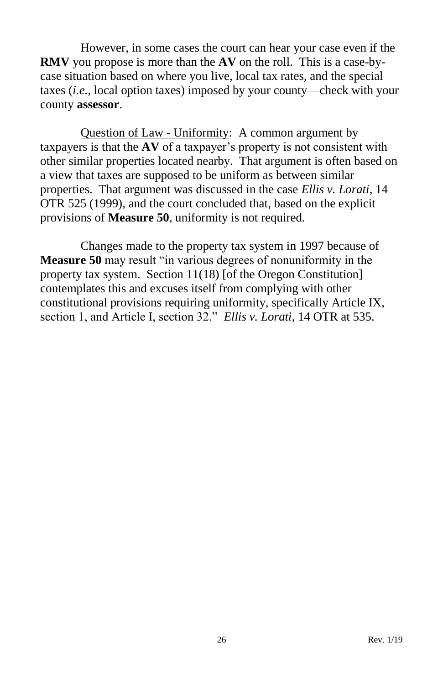However, in some cases the court can hear your case even if the **RMV** you propose is more than the **AV** on the roll. This is a case-bycase situation based on where you live, local tax rates, and the special taxes (*i.e.*, local option taxes) imposed by your county—check with your county **assessor**.

<span id="page-29-0"></span>Question of Law - Uniformity: A common argument by taxpayers is that the **AV** of a taxpayer's property is not consistent with other similar properties located nearby. That argument is often based on a view that taxes are supposed to be uniform as between similar properties. That argument was discussed in the case *Ellis v. Lorati*, 14 OTR 525 (1999), and the court concluded that, based on the explicit provisions of **Measure 50**, uniformity is not required.

Changes made to the property tax system in 1997 because of **Measure 50** may result "in various degrees of nonuniformity in the property tax system. Section 11(18) [of the Oregon Constitution] contemplates this and excuses itself from complying with other constitutional provisions requiring uniformity, specifically Article IX, section 1, and Article I, section 32." *Ellis v. Lorati*, 14 OTR at 535.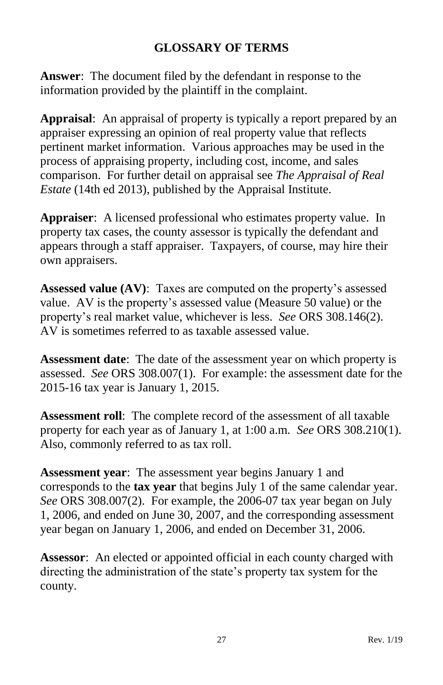# **GLOSSARY OF TERMS**

<span id="page-30-0"></span>**Answer**: The document filed by the defendant in response to the information provided by the plaintiff in the complaint.

**Appraisal**: An appraisal of property is typically a report prepared by an appraiser expressing an opinion of real property value that reflects pertinent market information. Various approaches may be used in the process of appraising property, including cost, income, and sales comparison. For further detail on appraisal see *The Appraisal of Real Estate* (14th ed 2013), published by the Appraisal Institute.

**Appraiser**: A licensed professional who estimates property value. In property tax cases, the county assessor is typically the defendant and appears through a staff appraiser. Taxpayers, of course, may hire their own appraisers.

**Assessed value (AV)**: Taxes are computed on the property's assessed value. AV is the property's assessed value (Measure 50 value) or the property's real market value, whichever is less. *See* ORS 308.146(2). AV is sometimes referred to as taxable assessed value.

**Assessment date**: The date of the assessment year on which property is assessed. *See* ORS 308.007(1). For example: the assessment date for the 2015-16 tax year is January 1, 2015.

**Assessment roll**: The complete record of the assessment of all taxable property for each year as of January 1, at 1:00 a.m. *See* ORS 308.210(1). Also, commonly referred to as tax roll.

**Assessment year**: The assessment year begins January 1 and corresponds to the **tax year** that begins July 1 of the same calendar year. *See* ORS 308.007(2). For example, the 2006-07 tax year began on July 1, 2006, and ended on June 30, 2007, and the corresponding assessment year began on January 1, 2006, and ended on December 31, 2006.

**Assessor**: An elected or appointed official in each county charged with directing the administration of the state's property tax system for the county.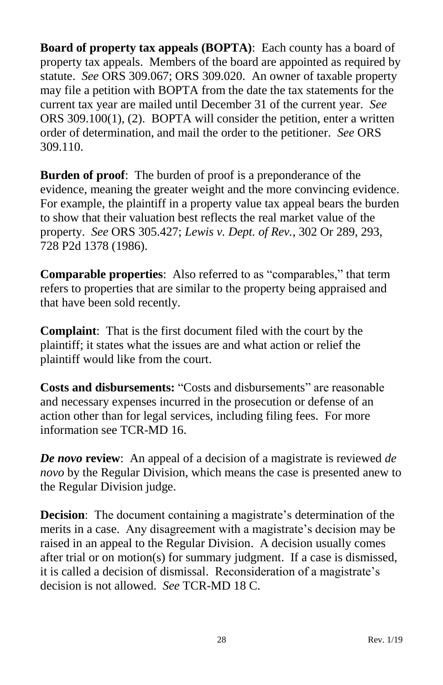**Board of property tax appeals (BOPTA)**: Each county has a board of property tax appeals. Members of the board are appointed as required by statute. *See* ORS 309.067; ORS 309.020. An owner of taxable property may file a petition with BOPTA from the date the tax statements for the current tax year are mailed until December 31 of the current year. *See* ORS 309.100(1), (2). BOPTA will consider the petition, enter a written order of determination, and mail the order to the petitioner. *See* ORS 309.110.

**Burden of proof**: The burden of proof is a preponderance of the evidence, meaning the greater weight and the more convincing evidence. For example, the plaintiff in a property value tax appeal bears the burden to show that their valuation best reflects the real market value of the property. *See* ORS 305.427; *Lewis v. Dept. of Rev.*, 302 Or 289, 293, 728 P2d 1378 (1986).

**Comparable properties**: Also referred to as "comparables," that term refers to properties that are similar to the property being appraised and that have been sold recently.

**Complaint**: That is the first document filed with the court by the plaintiff; it states what the issues are and what action or relief the plaintiff would like from the court.

**Costs and disbursements:** "Costs and disbursements" are reasonable and necessary expenses incurred in the prosecution or defense of an action other than for legal services, including filing fees. For more information see TCR-MD 16.

*De novo* **review**: An appeal of a decision of a magistrate is reviewed *de novo* by the Regular Division, which means the case is presented anew to the Regular Division judge.

**Decision**: The document containing a magistrate's determination of the merits in a case. Any disagreement with a magistrate's decision may be raised in an appeal to the Regular Division. A decision usually comes after trial or on motion(s) for summary judgment. If a case is dismissed, it is called a decision of dismissal. Reconsideration of a magistrate's decision is not allowed. *See* TCR-MD 18 C.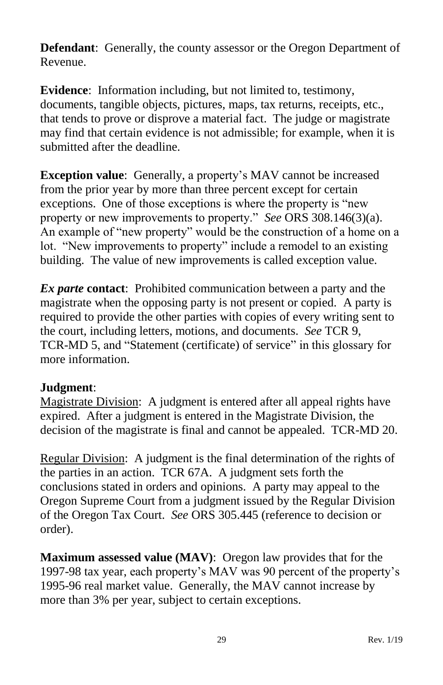**Defendant**: Generally, the county assessor or the Oregon Department of Revenue.

**Evidence**: Information including, but not limited to, testimony, documents, tangible objects, pictures, maps, tax returns, receipts, etc., that tends to prove or disprove a material fact. The judge or magistrate may find that certain evidence is not admissible; for example, when it is submitted after the deadline.

**Exception value**: Generally, a property's MAV cannot be increased from the prior year by more than three percent except for certain exceptions. One of those exceptions is where the property is "new property or new improvements to property." *See* ORS 308.146(3)(a). An example of "new property" would be the construction of a home on a lot. "New improvements to property" include a remodel to an existing building. The value of new improvements is called exception value.

*Ex parte* **contact**: Prohibited communication between a party and the magistrate when the opposing party is not present or copied. A party is required to provide the other parties with copies of every writing sent to the court, including letters, motions, and documents. *See* TCR 9, TCR-MD 5, and "Statement (certificate) of service" in this glossary for more information.

# **Judgment**:

Magistrate Division: A judgment is entered after all appeal rights have expired. After a judgment is entered in the Magistrate Division, the decision of the magistrate is final and cannot be appealed. TCR-MD 20.

Regular Division: A judgment is the final determination of the rights of the parties in an action. TCR 67A. A judgment sets forth the conclusions stated in orders and opinions. A party may appeal to the Oregon Supreme Court from a judgment issued by the Regular Division of the Oregon Tax Court. *See* ORS 305.445 (reference to decision or order).

**Maximum assessed value (MAV)**: Oregon law provides that for the 1997-98 tax year, each property's MAV was 90 percent of the property's 1995-96 real market value. Generally, the MAV cannot increase by more than 3% per year, subject to certain exceptions.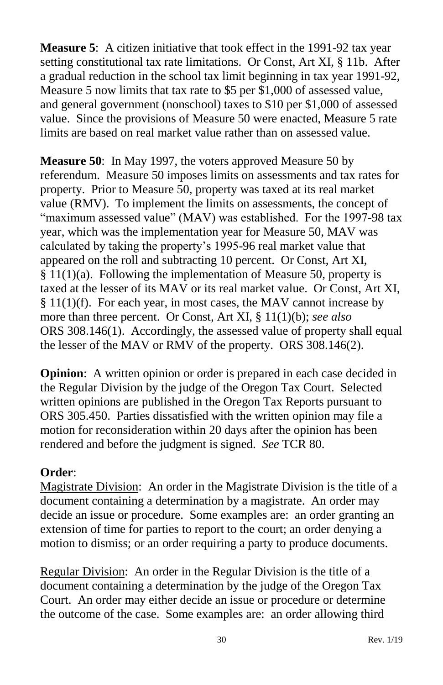**Measure 5**: A citizen initiative that took effect in the 1991-92 tax year setting constitutional tax rate limitations. Or Const, Art XI, § 11b. After a gradual reduction in the school tax limit beginning in tax year 1991-92, Measure 5 now limits that tax rate to \$5 per \$1,000 of assessed value, and general government (nonschool) taxes to \$10 per \$1,000 of assessed value. Since the provisions of Measure 50 were enacted, Measure 5 rate limits are based on real market value rather than on assessed value.

**Measure 50**: In May 1997, the voters approved Measure 50 by referendum. Measure 50 imposes limits on assessments and tax rates for property. Prior to Measure 50, property was taxed at its real market value (RMV). To implement the limits on assessments, the concept of "maximum assessed value" (MAV) was established. For the 1997-98 tax year, which was the implementation year for Measure 50, MAV was calculated by taking the property's 1995-96 real market value that appeared on the roll and subtracting 10 percent. Or Const, Art XI,  $§ 11(1)(a)$ . Following the implementation of Measure 50, property is taxed at the lesser of its  $MAV$  or its real market value. Or Const, Art XI, § 11(1)(f). For each year, in most cases, the MAV cannot increase by more than three percent. Or Const, Art XI, § 11(1)(b); *see also* ORS 308.146(1). Accordingly, the assessed value of property shall equal the lesser of the MAV or RMV of the property. ORS 308.146(2).

**Opinion:** A written opinion or order is prepared in each case decided in the Regular Division by the judge of the Oregon Tax Court. Selected written opinions are published in the Oregon Tax Reports pursuant to ORS 305.450. Parties dissatisfied with the written opinion may file a motion for reconsideration within 20 days after the opinion has been rendered and before the judgment is signed. *See* TCR 80.

# **Order**:

Magistrate Division: An order in the Magistrate Division is the title of a document containing a determination by a magistrate. An order may decide an issue or procedure. Some examples are: an order granting an extension of time for parties to report to the court; an order denying a motion to dismiss; or an order requiring a party to produce documents.

Regular Division: An order in the Regular Division is the title of a document containing a determination by the judge of the Oregon Tax Court. An order may either decide an issue or procedure or determine the outcome of the case. Some examples are: an order allowing third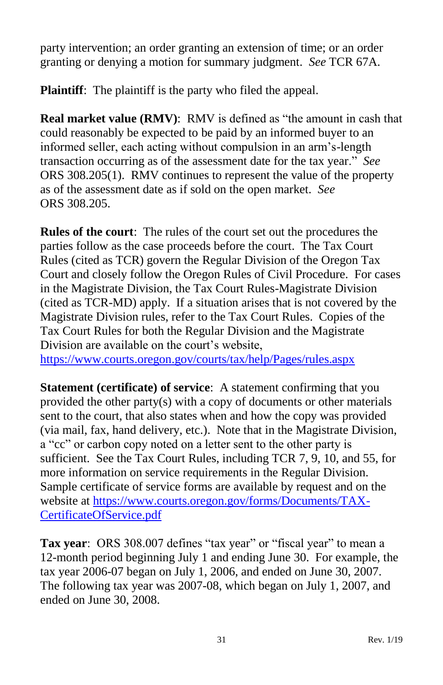party intervention; an order granting an extension of time; or an order granting or denying a motion for summary judgment. *See* TCR 67A.

**Plaintiff:** The plaintiff is the party who filed the appeal.

**Real market value (RMV)**: RMV is defined as "the amount in cash that could reasonably be expected to be paid by an informed buyer to an informed seller, each acting without compulsion in an arm's-length transaction occurring as of the assessment date for the tax year." *See* ORS 308.205(1). RMV continues to represent the value of the property as of the assessment date as if sold on the open market. *See* ORS 308.205.

**Rules of the court**: The rules of the court set out the procedures the parties follow as the case proceeds before the court. The Tax Court Rules (cited as TCR) govern the Regular Division of the Oregon Tax Court and closely follow the Oregon Rules of Civil Procedure. For cases in the Magistrate Division, the Tax Court Rules-Magistrate Division (cited as TCR-MD) apply. If a situation arises that is not covered by the Magistrate Division rules, refer to the Tax Court Rules. Copies of the Tax Court Rules for both the Regular Division and the Magistrate Division are available on the court's website,

<https://www.courts.oregon.gov/courts/tax/help/Pages/rules.aspx>

**Statement (certificate) of service**: A statement confirming that you provided the other party(s) with a copy of documents or other materials sent to the court, that also states when and how the copy was provided (via mail, fax, hand delivery, etc.). Note that in the Magistrate Division, a "cc" or carbon copy noted on a letter sent to the other party is sufficient. See the Tax Court Rules, including TCR 7, 9, 10, and 55, for more information on service requirements in the Regular Division. Sample certificate of service forms are available by request and on the website at [https://www.courts.oregon.gov/forms/Documents/TAX-](https://www.courts.oregon.gov/forms/Documents/TAX-CertificateOfService.pdf)[CertificateOfService.pdf](https://www.courts.oregon.gov/forms/Documents/TAX-CertificateOfService.pdf)

<span id="page-34-0"></span>**Tax year**: ORS 308.007 defines "tax year" or "fiscal year" to mean a 12-month period beginning July 1 and ending June 30. For example, the tax year 2006-07 began on July 1, 2006, and ended on June 30, 2007. The following tax year was 2007-08, which began on July 1, 2007, and ended on June 30, 2008.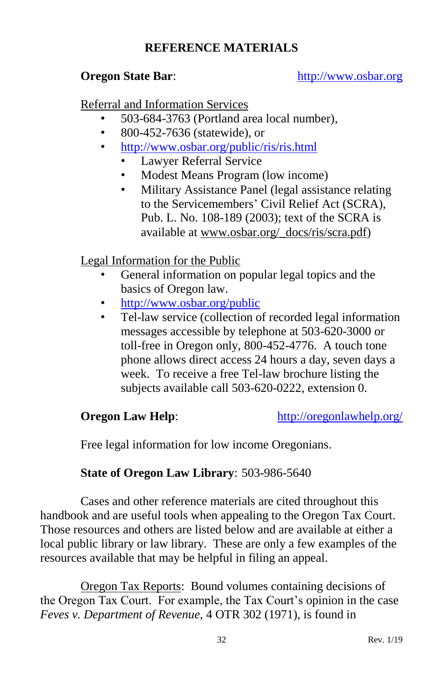# **REFERENCE MATERIALS**

#### **Oregon State Bar:** [http://www.osbar.org](http://www.osbar.org/)

Referral and Information Services

- 503-684-3763 (Portland area local number),
- 800-452-7636 (statewide), or
- <http://www.osbar.org/public/ris/ris.html>
	- Lawyer Referral Service
	- Modest Means Program (low income)
	- Military Assistance Panel (legal assistance relating to the Servicemembers' Civil Relief Act (SCRA), Pub. L. No. 108-189 (2003); text of the SCRA is available at www.osbar.org/\_docs/ris/scra.pdf)

# Legal Information for the Public

- General information on popular legal topics and the basics of Oregon law.
- <http://www.osbar.org/public>
- Tel-law service (collection of recorded legal information messages accessible by telephone at 503-620-3000 or toll-free in Oregon only, 800-452-4776. A touch tone phone allows direct access 24 hours a day, seven days a week. To receive a free Tel-law brochure listing the subjects available call 503-620-0222, extension 0.

**Oregon Law Help:** <http://oregonlawhelp.org/>

Free legal information for low income Oregonians.

# **State of Oregon Law Library**: 503-986-5640

Cases and other reference materials are cited throughout this handbook and are useful tools when appealing to the Oregon Tax Court. Those resources and others are listed below and are available at either a local public library or law library. These are only a few examples of the resources available that may be helpful in filing an appeal.

Oregon Tax Reports: Bound volumes containing decisions of the Oregon Tax Court. For example, the Tax Court's opinion in the case *Feves v. Department of Revenue*, 4 OTR 302 (1971), is found in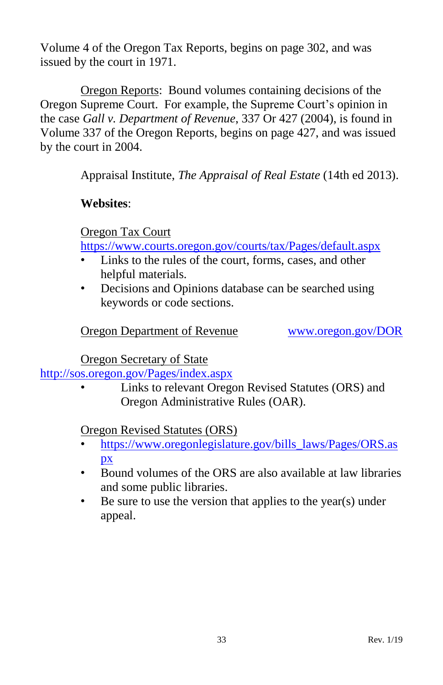Volume 4 of the Oregon Tax Reports, begins on page 302, and was issued by the court in 1971.

Oregon Reports: Bound volumes containing decisions of the Oregon Supreme Court. For example, the Supreme Court's opinion in the case *Gall v. Department of Revenue*, 337 Or 427 (2004), is found in Volume 337 of the Oregon Reports, begins on page 427, and was issued by the court in 2004.

Appraisal Institute, *The Appraisal of Real Estate* (14th ed 2013).

# **Websites**:

Oregon Tax Court

<https://www.courts.oregon.gov/courts/tax/Pages/default.aspx>

- Links to the rules of the court, forms, cases, and other helpful materials.
- Decisions and Opinions database can be searched using keywords or code sections.

# Oregon Department of Revenue [www.oregon.gov/DOR](http://www.oregon.gov/DOR)

Oregon Secretary of State

<http://sos.oregon.gov/Pages/index.aspx>

• Links to relevant Oregon Revised Statutes (ORS) and Oregon Administrative Rules (OAR).

Oregon Revised Statutes (ORS)

- [https://www.oregonlegislature.gov/bills\\_laws/Pages/ORS.as](https://www.oregonlegislature.gov/bills_laws/Pages/ORS.aspx) [px](https://www.oregonlegislature.gov/bills_laws/Pages/ORS.aspx)
- Bound volumes of the ORS are also available at law libraries and some public libraries.
- Be sure to use the version that applies to the year(s) under appeal.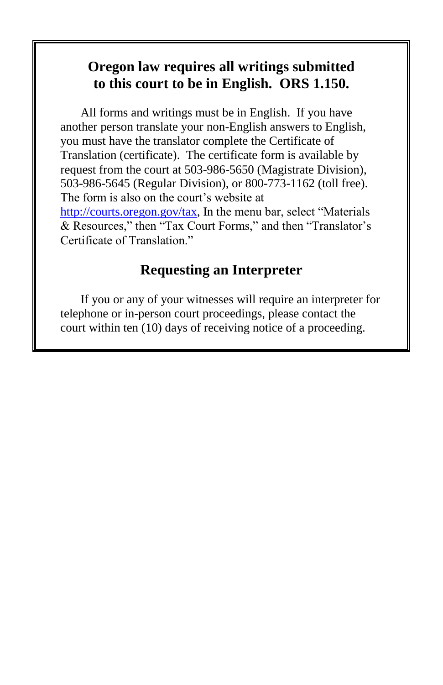# **Oregon law requires all writings submitted to this court to be in English. ORS 1.150.**

All forms and writings must be in English. If you have another person translate your non-English answers to English, you must have the translator complete the Certificate of Translation (certificate). The certificate form is available by request from the court at 503-986-5650 (Magistrate Division), 503-986-5645 (Regular Division), or 800-773-1162 (toll free). The form is also on the court's website at [http://courts.oregon.gov/tax,](http://courts.oregon.gov/tax) In the menu bar, select "Materials & Resources," then "Tax Court Forms," and then "Translator's Certificate of Translation."

# **Requesting an Interpreter**

If you or any of your witnesses will require an interpreter for telephone or in-person court proceedings, please contact the court within ten (10) days of receiving notice of a proceeding.